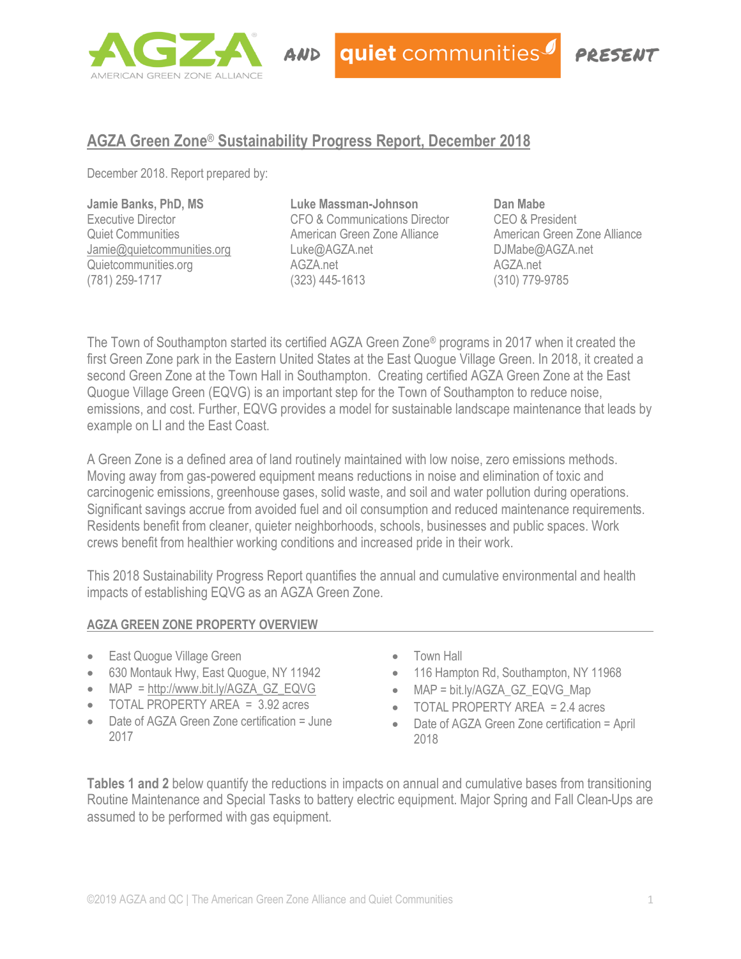

quiet communities

# PAESENT

## **AGZA Green Zone**® **Sustainability Progress Report, December 2018**

December 2018. Report prepared by:

#### **Jamie Banks, PhD, MS**

Executive Director Quiet Communities [Jamie@quietcommunities.org](mailto:Jamie@quietcommunities.org) Quietcommunities.org (781) 259-1717

**Luke Massman-Johnson** CFO & Communications Director American Green Zone Alliance Luke@AGZA.net AGZA.net (323) 445-1613

**Dan Mabe** CEO & President American Green Zone Alliance DJMabe@AGZA.net AGZA.net (310) 779-9785

The Town of Southampton started its certified AGZA Green Zone® programs in 2017 when it created the first Green Zone park in the Eastern United States at the East Quogue Village Green. In 2018, it created a second Green Zone at the Town Hall in Southampton. Creating certified AGZA Green Zone at the East Quogue Village Green (EQVG) is an important step for the Town of Southampton to reduce noise, emissions, and cost. Further, EQVG provides a model for sustainable landscape maintenance that leads by example on LI and the East Coast.

A Green Zone is a defined area of land routinely maintained with low noise, zero emissions methods. Moving away from gas-powered equipment means reductions in noise and elimination of toxic and carcinogenic emissions, greenhouse gases, solid waste, and soil and water pollution during operations. Significant savings accrue from avoided fuel and oil consumption and reduced maintenance requirements. Residents benefit from cleaner, quieter neighborhoods, schools, businesses and public spaces. Work crews benefit from healthier working conditions and increased pride in their work.

This 2018 Sustainability Progress Report quantifies the annual and cumulative environmental and health impacts of establishing EQVG as an AGZA Green Zone.

#### **AGZA GREEN ZONE PROPERTY OVERVIEW**

- East Quogue Village Green
- 630 Montauk Hwy, East Quogue, NY 11942
- MAP = [http://www.bit.ly/AGZA\\_GZ\\_EQVG](http://www.bit.ly/AGZA_GZ_EQVG)
- TOTAL PROPERTY AREA = 3.92 acres
- Date of AGZA Green Zone certification = June 2017
- Town Hall
- 116 Hampton Rd, Southampton, NY 11968
- MAP = bit.ly/AGZA\_GZ\_EQVG\_Map
- TOTAL PROPERTY AREA = 2.4 acres
- Date of AGZA Green Zone certification = April 2018

**Tables 1 and 2** below quantify the reductions in impacts on annual and cumulative bases from transitioning Routine Maintenance and Special Tasks to battery electric equipment. Major Spring and Fall Clean-Ups are assumed to be performed with gas equipment.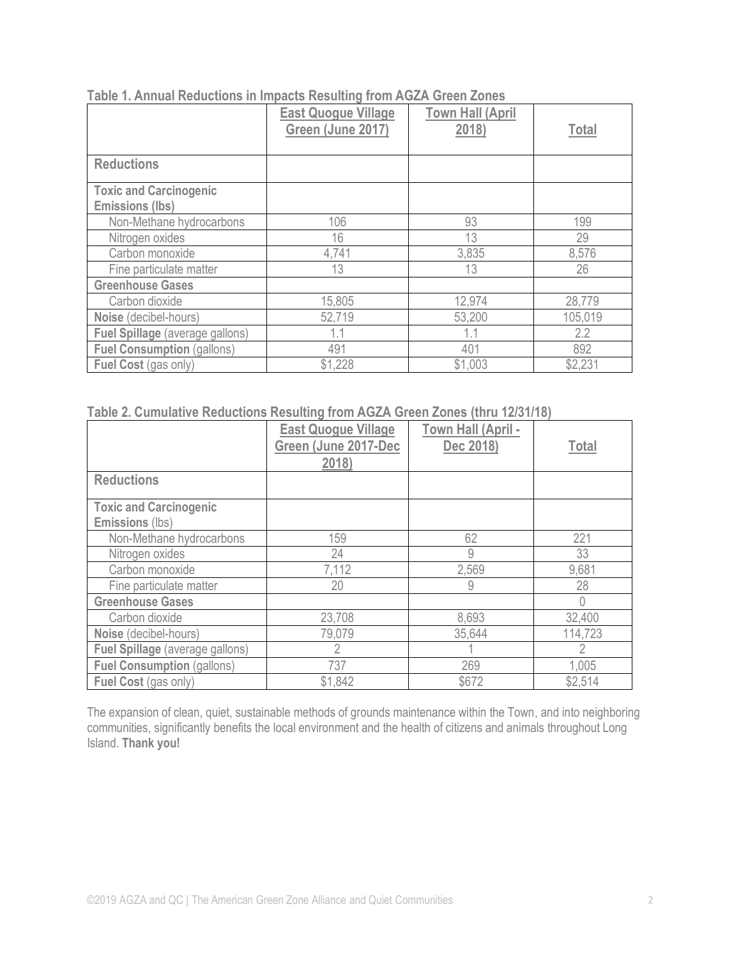|                                                         | <b>East Quogue Village</b><br>Green (June 2017) | <b>Town Hall (April</b><br>2018) | <b>Total</b> |
|---------------------------------------------------------|-------------------------------------------------|----------------------------------|--------------|
| <b>Reductions</b>                                       |                                                 |                                  |              |
| <b>Toxic and Carcinogenic</b><br><b>Emissions (lbs)</b> |                                                 |                                  |              |
| Non-Methane hydrocarbons                                | 106                                             | 93                               | 199          |
| Nitrogen oxides                                         | 16                                              | 13                               | 29           |
| Carbon monoxide                                         | 4,741                                           | 3,835                            | 8,576        |
| Fine particulate matter                                 | 13                                              | 13                               | 26           |
| <b>Greenhouse Gases</b>                                 |                                                 |                                  |              |
| Carbon dioxide                                          | 15,805                                          | 12,974                           | 28,779       |
| Noise (decibel-hours)                                   | 52,719                                          | 53,200                           | 105,019      |
| Fuel Spillage (average gallons)                         |                                                 | 1.1                              | 2.2          |
| <b>Fuel Consumption (gallons)</b>                       | 491                                             | 401                              | 892          |
| Fuel Cost (gas only)                                    | \$1,228                                         | \$1,003                          | \$2,231      |

**Table 1. Annual Reductions in Impacts Resulting from AGZA Green Zones**

### **Table 2. Cumulative Reductions Resulting from AGZA Green Zones (thru 12/31/18)**

|                                                  | <b>East Quogue Village</b><br>Green (June 2017-Dec<br>2018) | Town Hall (April -<br>Dec 2018) | <b>Total</b> |
|--------------------------------------------------|-------------------------------------------------------------|---------------------------------|--------------|
| <b>Reductions</b>                                |                                                             |                                 |              |
| <b>Toxic and Carcinogenic</b><br>Emissions (lbs) |                                                             |                                 |              |
| Non-Methane hydrocarbons                         | 159                                                         | 62                              | 221          |
| Nitrogen oxides                                  | 24                                                          | 9                               | 33           |
| Carbon monoxide                                  | 7,112                                                       | 2,569                           | 9,681        |
| Fine particulate matter                          | 20                                                          | 9                               | 28           |
| <b>Greenhouse Gases</b>                          |                                                             |                                 | 0            |
| Carbon dioxide                                   | 23,708                                                      | 8,693                           | 32,400       |
| Noise (decibel-hours)                            | 79,079                                                      | 35,644                          | 114,723      |
| Fuel Spillage (average gallons)                  |                                                             |                                 |              |
| <b>Fuel Consumption (gallons)</b>                | 737                                                         | 269                             | 1,005        |
| Fuel Cost (gas only)                             | \$1,842                                                     | \$672                           | \$2,514      |

The expansion of clean, quiet, sustainable methods of grounds maintenance within the Town, and into neighboring communities, significantly benefits the local environment and the health of citizens and animals throughout Long Island. **Thank you!**